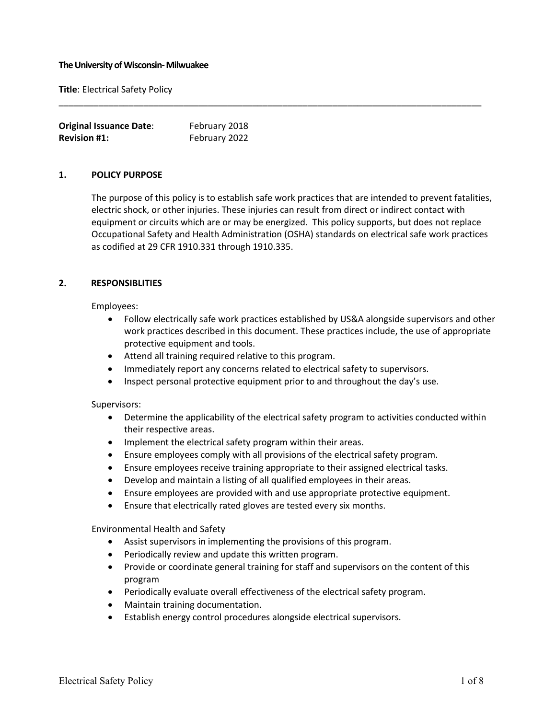#### **The University of Wisconsin-Milwuakee**

**Title**: Electrical Safety Policy

| <b>Original Issuance Date:</b> | February 2018 |
|--------------------------------|---------------|
| <b>Revision #1:</b>            | February 2022 |

### **1. POLICY PURPOSE**

The purpose of this policy is to establish safe work practices that are intended to prevent fatalities, electric shock, or other injuries. These injuries can result from direct or indirect contact with equipment or circuits which are or may be energized. This policy supports, but does not replace Occupational Safety and Health Administration (OSHA) standards on electrical safe work practices as codified at 29 CFR 1910.331 through 1910.335.

\_\_\_\_\_\_\_\_\_\_\_\_\_\_\_\_\_\_\_\_\_\_\_\_\_\_\_\_\_\_\_\_\_\_\_\_\_\_\_\_\_\_\_\_\_\_\_\_\_\_\_\_\_\_\_\_\_\_\_\_\_\_\_\_\_\_\_\_\_\_\_\_\_\_\_\_\_\_\_\_\_\_\_\_\_

### **2. RESPONSIBLITIES**

Employees:

- Follow electrically safe work practices established by US&A alongside supervisors and other work practices described in this document. These practices include, the use of appropriate protective equipment and tools.
- Attend all training required relative to this program.
- Immediately report any concerns related to electrical safety to supervisors.
- Inspect personal protective equipment prior to and throughout the day's use.

#### Supervisors:

- Determine the applicability of the electrical safety program to activities conducted within their respective areas.
- Implement the electrical safety program within their areas.
- Ensure employees comply with all provisions of the electrical safety program.
- Ensure employees receive training appropriate to their assigned electrical tasks.
- Develop and maintain a listing of all qualified employees in their areas.
- Ensure employees are provided with and use appropriate protective equipment.
- Ensure that electrically rated gloves are tested every six months.

Environmental Health and Safety

- Assist supervisors in implementing the provisions of this program.
- Periodically review and update this written program.
- Provide or coordinate general training for staff and supervisors on the content of this program
- Periodically evaluate overall effectiveness of the electrical safety program.
- Maintain training documentation.
- Establish energy control procedures alongside electrical supervisors.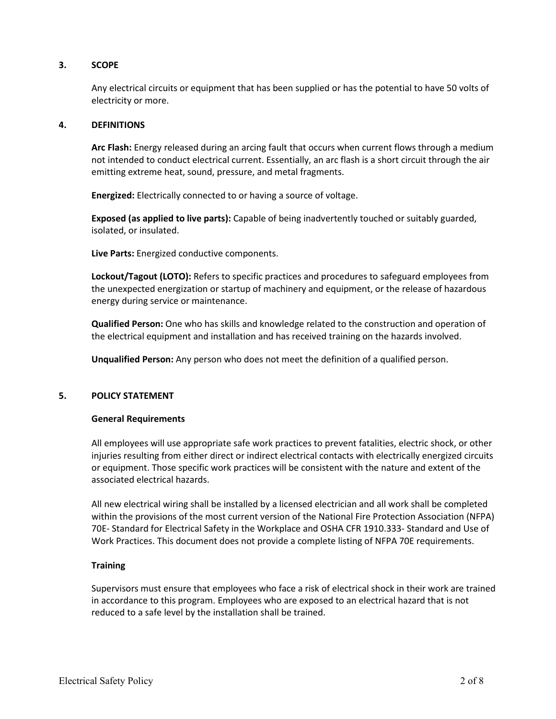# **3. SCOPE**

Any electrical circuits or equipment that has been supplied or has the potential to have 50 volts of electricity or more.

# **4. DEFINITIONS**

**Arc Flash:** Energy released during an arcing fault that occurs when current flows through a medium not intended to conduct electrical current. Essentially, an arc flash is a short circuit through the air emitting extreme heat, sound, pressure, and metal fragments.

**Energized:** Electrically connected to or having a source of voltage.

**Exposed (as applied to live parts):** Capable of being inadvertently touched or suitably guarded, isolated, or insulated.

**Live Parts:** Energized conductive components.

**Lockout/Tagout (LOTO):** Refers to specific practices and procedures to safeguard employees from the unexpected energization or startup of machinery and equipment, or the release of hazardous energy during service or maintenance.

**Qualified Person:** One who has skills and knowledge related to the construction and operation of the electrical equipment and installation and has received training on the hazards involved.

**Unqualified Person:** Any person who does not meet the definition of a qualified person.

# **5. POLICY STATEMENT**

#### **General Requirements**

All employees will use appropriate safe work practices to prevent fatalities, electric shock, or other injuries resulting from either direct or indirect electrical contacts with electrically energized circuits or equipment. Those specific work practices will be consistent with the nature and extent of the associated electrical hazards.

All new electrical wiring shall be installed by a licensed electrician and all work shall be completed within the provisions of the most current version of the National Fire Protection Association (NFPA) 70E- Standard for Electrical Safety in the Workplace and OSHA CFR 1910.333- Standard and Use of Work Practices. This document does not provide a complete listing of NFPA 70E requirements.

# **Training**

Supervisors must ensure that employees who face a risk of electrical shock in their work are trained in accordance to this program. Employees who are exposed to an electrical hazard that is not reduced to a safe level by the installation shall be trained.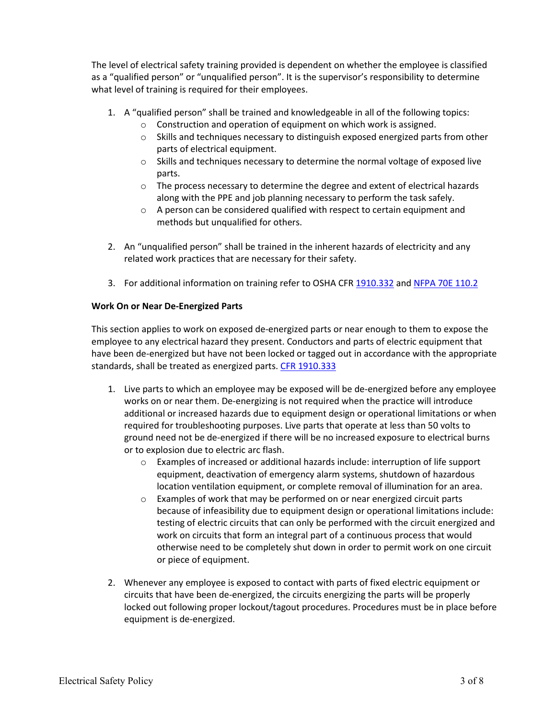The level of electrical safety training provided is dependent on whether the employee is classified as a "qualified person" or "unqualified person". It is the supervisor's responsibility to determine what level of training is required for their employees.

- 1. A "qualified person" shall be trained and knowledgeable in all of the following topics:
	- o Construction and operation of equipment on which work is assigned.
	- $\circ$  Skills and techniques necessary to distinguish exposed energized parts from other parts of electrical equipment.
	- $\circ$  Skills and techniques necessary to determine the normal voltage of exposed live parts.
	- $\circ$  The process necessary to determine the degree and extent of electrical hazards along with the PPE and job planning necessary to perform the task safely.
	- o A person can be considered qualified with respect to certain equipment and methods but unqualified for others.
- 2. An "unqualified person" shall be trained in the inherent hazards of electricity and any related work practices that are necessary for their safety.
- 3. For additional information on training refer to OSHA CFR [1910.332](https://www.osha.gov/pls/oshaweb/owadisp.show_document?p_table=STANDARDS&p_id=9909) and [NFPA 70E 110.2](http://www.nfpa.org/codes-and-standards/all-codes-and-standards/list-of-codes-and-standards/detail?code=70E)

# **Work On or Near De-Energized Parts**

This section applies to work on exposed de-energized parts or near enough to them to expose the employee to any electrical hazard they present. Conductors and parts of electric equipment that have been de-energized but have not been locked or tagged out in accordance with the appropriate standards, shall be treated as energized parts. [CFR 1910.333](https://www.osha.gov/pls/oshaweb/owadisp.show_document?p_table=STANDARDS&p_id=9910)

- 1. Live parts to which an employee may be exposed will be de-energized before any employee works on or near them. De-energizing is not required when the practice will introduce additional or increased hazards due to equipment design or operational limitations or when required for troubleshooting purposes. Live parts that operate at less than 50 volts to ground need not be de-energized if there will be no increased exposure to electrical burns or to explosion due to electric arc flash.
	- $\circ$  Examples of increased or additional hazards include: interruption of life support equipment, deactivation of emergency alarm systems, shutdown of hazardous location ventilation equipment, or complete removal of illumination for an area.
	- o Examples of work that may be performed on or near energized circuit parts because of infeasibility due to equipment design or operational limitations include: testing of electric circuits that can only be performed with the circuit energized and work on circuits that form an integral part of a continuous process that would otherwise need to be completely shut down in order to permit work on one circuit or piece of equipment.
- 2. Whenever any employee is exposed to contact with parts of fixed electric equipment or circuits that have been de-energized, the circuits energizing the parts will be properly locked out following proper lockout/tagout procedures. Procedures must be in place before equipment is de-energized.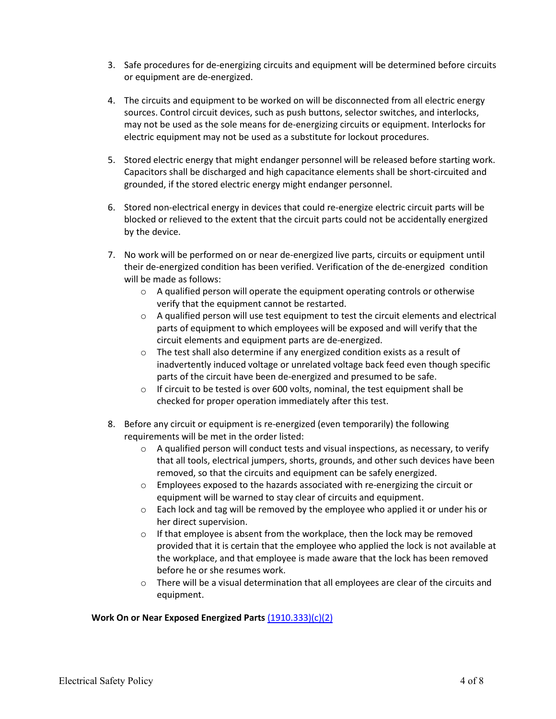- 3. Safe procedures for de-energizing circuits and equipment will be determined before circuits or equipment are de-energized.
- 4. The circuits and equipment to be worked on will be disconnected from all electric energy sources. Control circuit devices, such as push buttons, selector switches, and interlocks, may not be used as the sole means for de-energizing circuits or equipment. Interlocks for electric equipment may not be used as a substitute for lockout procedures.
- 5. Stored electric energy that might endanger personnel will be released before starting work. Capacitors shall be discharged and high capacitance elements shall be short-circuited and grounded, if the stored electric energy might endanger personnel.
- 6. Stored non-electrical energy in devices that could re-energize electric circuit parts will be blocked or relieved to the extent that the circuit parts could not be accidentally energized by the device.
- 7. No work will be performed on or near de-energized live parts, circuits or equipment until their de-energized condition has been verified. Verification of the de-energized condition will be made as follows:
	- $\circ$  A qualified person will operate the equipment operating controls or otherwise verify that the equipment cannot be restarted.
	- $\circ$  A qualified person will use test equipment to test the circuit elements and electrical parts of equipment to which employees will be exposed and will verify that the circuit elements and equipment parts are de-energized.
	- $\circ$  The test shall also determine if any energized condition exists as a result of inadvertently induced voltage or unrelated voltage back feed even though specific parts of the circuit have been de-energized and presumed to be safe.
	- o If circuit to be tested is over 600 volts, nominal, the test equipment shall be checked for proper operation immediately after this test.
- 8. Before any circuit or equipment is re-energized (even temporarily) the following requirements will be met in the order listed:
	- o A qualified person will conduct tests and visual inspections, as necessary, to verify that all tools, electrical jumpers, shorts, grounds, and other such devices have been removed, so that the circuits and equipment can be safely energized.
	- $\circ$  Employees exposed to the hazards associated with re-energizing the circuit or equipment will be warned to stay clear of circuits and equipment.
	- $\circ$  Each lock and tag will be removed by the employee who applied it or under his or her direct supervision.
	- o If that employee is absent from the workplace, then the lock may be removed provided that it is certain that the employee who applied the lock is not available at the workplace, and that employee is made aware that the lock has been removed before he or she resumes work.
	- $\circ$  There will be a visual determination that all employees are clear of the circuits and equipment.

# **Work On or Near Exposed Energized Parts** [\(1910.333\)\(c\)\(2\)](https://www.osha.gov/pls/oshaweb/owadisp.show_document?p_table=STANDARDS&p_id=9910)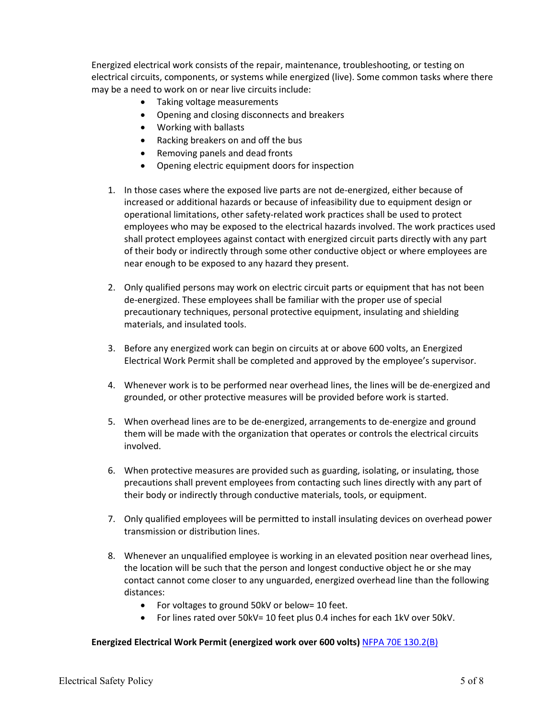Energized electrical work consists of the repair, maintenance, troubleshooting, or testing on electrical circuits, components, or systems while energized (live). Some common tasks where there may be a need to work on or near live circuits include:

- Taking voltage measurements
- Opening and closing disconnects and breakers
- Working with ballasts
- Racking breakers on and off the bus
- Removing panels and dead fronts
- Opening electric equipment doors for inspection
- 1. In those cases where the exposed live parts are not de-energized, either because of increased or additional hazards or because of infeasibility due to equipment design or operational limitations, other safety-related work practices shall be used to protect employees who may be exposed to the electrical hazards involved. The work practices used shall protect employees against contact with energized circuit parts directly with any part of their body or indirectly through some other conductive object or where employees are near enough to be exposed to any hazard they present.
- 2. Only qualified persons may work on electric circuit parts or equipment that has not been de-energized. These employees shall be familiar with the proper use of special precautionary techniques, personal protective equipment, insulating and shielding materials, and insulated tools.
- 3. Before any energized work can begin on circuits at or above 600 volts, an Energized Electrical Work Permit shall be completed and approved by the employee's supervisor.
- 4. Whenever work is to be performed near overhead lines, the lines will be de-energized and grounded, or other protective measures will be provided before work is started.
- 5. When overhead lines are to be de-energized, arrangements to de-energize and ground them will be made with the organization that operates or controls the electrical circuits involved.
- 6. When protective measures are provided such as guarding, isolating, or insulating, those precautions shall prevent employees from contacting such lines directly with any part of their body or indirectly through conductive materials, tools, or equipment.
- 7. Only qualified employees will be permitted to install insulating devices on overhead power transmission or distribution lines.
- 8. Whenever an unqualified employee is working in an elevated position near overhead lines, the location will be such that the person and longest conductive object he or she may contact cannot come closer to any unguarded, energized overhead line than the following distances:
	- For voltages to ground 50kV or below= 10 feet.
	- For lines rated over 50kV= 10 feet plus 0.4 inches for each 1kV over 50kV.

#### **Energized Electrical Work Permit (energized work over 600 volts)** [NFPA 70E 130.2\(B\)](http://www.nfpa.org/codes-and-standards/all-codes-and-standards/list-of-codes-and-standards/detail?code=70E)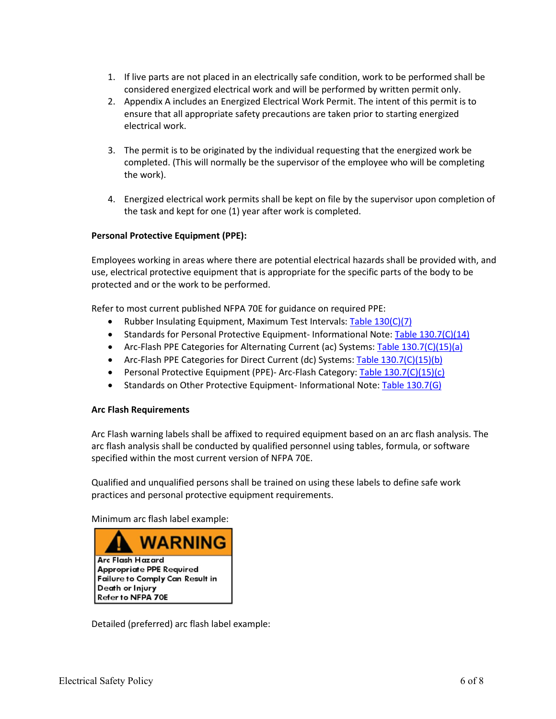- 1. If live parts are not placed in an electrically safe condition, work to be performed shall be considered energized electrical work and will be performed by written permit only.
- 2. Appendix A includes an Energized Electrical Work Permit. The intent of this permit is to ensure that all appropriate safety precautions are taken prior to starting energized electrical work.
- 3. The permit is to be originated by the individual requesting that the energized work be completed. (This will normally be the supervisor of the employee who will be completing the work).
- 4. Energized electrical work permits shall be kept on file by the supervisor upon completion of the task and kept for one (1) year after work is completed.

# **Personal Protective Equipment (PPE):**

Employees working in areas where there are potential electrical hazards shall be provided with, and use, electrical protective equipment that is appropriate for the specific parts of the body to be protected and or the work to be performed.

Refer to most current published NFPA 70E for guidance on required PPE:

- Rubber Insulating Equipment, Maximum Test Intervals: [Table 130\(C\)\(7\)](http://www.nfpa.org/codes-and-standards/all-codes-and-standards/list-of-codes-and-standards/detail?code=70E)
- Standards for Personal Protective Equipment-Informational Note: [Table 130.7\(C\)\(14\)](http://www.nfpa.org/codes-and-standards/all-codes-and-standards/list-of-codes-and-standards/detail?code=70E)
- Arc-Flash PPE Categories for Alternating Current (ac) Systems: [Table 130.7\(C\)\(15\)\(a\)](http://www.nfpa.org/codes-and-standards/all-codes-and-standards/list-of-codes-and-standards/detail?code=70E)
- Arc-Flash PPE Categories for Direct Current (dc) Systems: [Table 130.7\(C\)\(15\)\(b\)](http://www.nfpa.org/codes-and-standards/all-codes-and-standards/list-of-codes-and-standards/detail?code=70E)
- Personal Protective Equipment (PPE)- Arc-Flash Category: [Table 130.7\(C\)\(15\)\(c\)](http://www.nfpa.org/codes-and-standards/all-codes-and-standards/list-of-codes-and-standards/detail?code=70E)
- Standards on Other Protective Equipment- Informational Note: [Table 130.7\(G\)](http://www.nfpa.org/codes-and-standards/all-codes-and-standards/list-of-codes-and-standards/detail?code=70E)

# **Arc Flash Requirements**

Arc Flash warning labels shall be affixed to required equipment based on an arc flash analysis. The arc flash analysis shall be conducted by qualified personnel using tables, formula, or software specified within the most current version of NFPA 70E.

Qualified and unqualified persons shall be trained on using these labels to define safe work practices and personal protective equipment requirements.

Minimum arc flash label example:



Detailed (preferred) arc flash label example: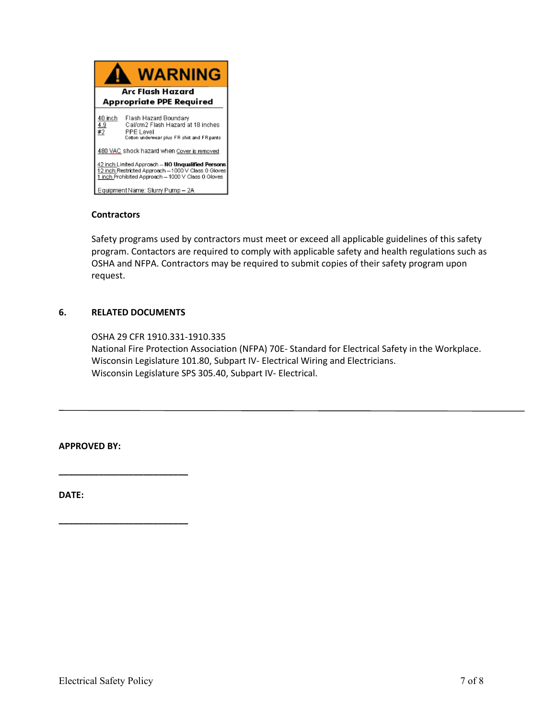

# **Contractors**

Safety programs used by contractors must meet or exceed all applicable guidelines of this safety program. Contactors are required to comply with applicable safety and health regulations such as OSHA and NFPA. Contractors may be required to submit copies of their safety program upon request.

# **6. RELATED DOCUMENTS**

**\_\_\_\_\_\_\_\_\_\_\_\_\_\_\_\_\_\_\_\_\_\_\_\_\_\_**

**\_\_\_\_\_\_\_\_\_\_\_\_\_\_\_\_\_\_\_\_\_\_\_\_\_\_**

OSHA 29 CFR 1910.331-1910.335 National Fire Protection Association (NFPA) 70E- Standard for Electrical Safety in the Workplace. Wisconsin Legislature 101.80, Subpart IV- Electrical Wiring and Electricians. Wisconsin Legislature SPS 305.40, Subpart IV- Electrical.

**APPROVED BY:**

**DATE:**